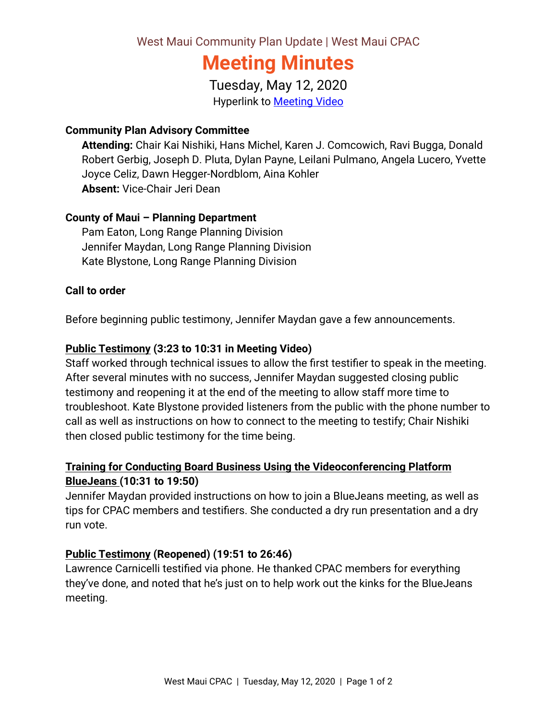West Maui Community Plan Update | West Maui CPAC

# **Meeting Minutes**

Tuesday, May 12, 2020 Hyperlink to [Meeting Video](https://archive.org/200310-wmcpac)

#### **Community Plan Advisory Committee**

**Attending:** Chair Kai Nishiki, Hans Michel, Karen J. Comcowich, Ravi Bugga, Donald Robert Gerbig, Joseph D. Pluta, Dylan Payne, Leilani Pulmano, Angela Lucero, Yvette Joyce Celiz, Dawn Hegger-Nordblom, Aina Kohler **Absent:** Vice-Chair Jeri Dean

## **County of Maui – Planning Department**

Pam Eaton, Long Range Planning Division Jennifer Maydan, Long Range Planning Division Kate Blystone, Long Range Planning Division

#### **Call to order**

Before beginning public testimony, Jennifer Maydan gave a few announcements.

## **Public Testimony (3:23 to 10:31 in Meeting Video)**

Staff worked through technical issues to allow the first testifier to speak in the meeting. After several minutes with no success, Jennifer Maydan suggested closing public testimony and reopening it at the end of the meeting to allow staff more time to troubleshoot. Kate Blystone provided listeners from the public with the phone number to call as well as instructions on how to connect to the meeting to testify; Chair Nishiki then closed public testimony for the time being.

## **Training for Conducting Board Business Using the Videoconferencing Platform BlueJeans (10:31 to 19:50)**

Jennifer Maydan provided instructions on how to join a BlueJeans meeting, as well as tips for CPAC members and testifiers. She conducted a dry run presentation and a dry run vote.

## **Public Testimony (Reopened) (19:51 to 26:46)**

Lawrence Carnicelli testified via phone. He thanked CPAC members for everything they've done, and noted that he's just on to help work out the kinks for the BlueJeans meeting.